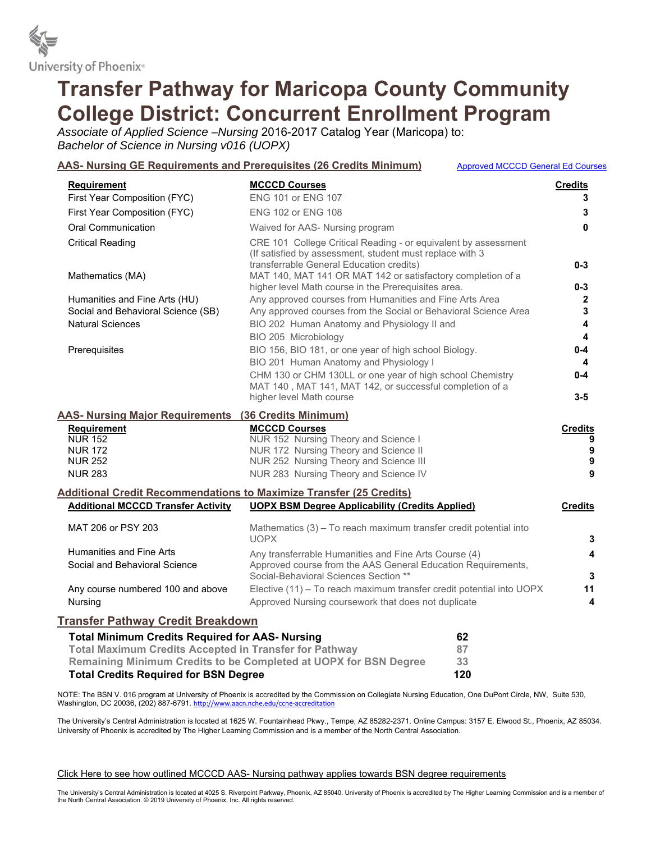

# **Transfer Pathway for Maricopa County Community College District: Concurrent Enrollment Program**

*Associate of Applied Science –Nursing* 2016-2017 Catalog Year (Maricopa) to: *Bachelor of Science in Nursing v016 (UOPX)*

|                                                                            | AAS- Nursing GE Requirements and Prerequisites (26 Credits Minimum)<br><b>Approved MCCCD General Ed Courses</b>                                                        |                         |
|----------------------------------------------------------------------------|------------------------------------------------------------------------------------------------------------------------------------------------------------------------|-------------------------|
| <b>Requirement</b>                                                         | <b>MCCCD Courses</b>                                                                                                                                                   | <b>Credits</b>          |
| First Year Composition (FYC)                                               | <b>ENG 101 or ENG 107</b>                                                                                                                                              | 3                       |
| First Year Composition (FYC)                                               | ENG 102 or ENG 108                                                                                                                                                     | 3                       |
| <b>Oral Communication</b>                                                  | Waived for AAS- Nursing program                                                                                                                                        | 0                       |
| <b>Critical Reading</b>                                                    | CRE 101 College Critical Reading - or equivalent by assessment<br>(If satisfied by assessment, student must replace with 3<br>transferrable General Education credits) | $0 - 3$                 |
| Mathematics (MA)                                                           | MAT 140, MAT 141 OR MAT 142 or satisfactory completion of a                                                                                                            |                         |
|                                                                            | higher level Math course in the Prerequisites area.                                                                                                                    | $0 - 3$                 |
| Humanities and Fine Arts (HU)                                              | Any approved courses from Humanities and Fine Arts Area                                                                                                                | 2                       |
| Social and Behavioral Science (SB)                                         | Any approved courses from the Social or Behavioral Science Area                                                                                                        | 3                       |
| <b>Natural Sciences</b>                                                    | BIO 202 Human Anatomy and Physiology II and                                                                                                                            | $\overline{\mathbf{4}}$ |
|                                                                            | BIO 205 Microbiology                                                                                                                                                   | $\overline{\mathbf{A}}$ |
| Prerequisites                                                              | BIO 156, BIO 181, or one year of high school Biology.                                                                                                                  | $0 - 4$                 |
|                                                                            | BIO 201 Human Anatomy and Physiology I                                                                                                                                 | 4                       |
|                                                                            | CHM 130 or CHM 130LL or one year of high school Chemistry<br>MAT 140, MAT 141, MAT 142, or successful completion of a                                                  | $0 - 4$                 |
|                                                                            | higher level Math course                                                                                                                                               | $3-5$                   |
| <b>AAS- Nursing Major Requirements (36 Credits Minimum)</b>                |                                                                                                                                                                        |                         |
| Requirement                                                                | <b>MCCCD Courses</b>                                                                                                                                                   | <b>Credits</b>          |
| <b>NUR 152</b>                                                             | NUR 152 Nursing Theory and Science I                                                                                                                                   | 9                       |
| <b>NUR 172</b>                                                             | NUR 172 Nursing Theory and Science II                                                                                                                                  | 9                       |
| <b>NUR 252</b>                                                             | NUR 252 Nursing Theory and Science III                                                                                                                                 | 9                       |
| <b>NUR 283</b>                                                             | NUR 283 Nursing Theory and Science IV                                                                                                                                  | 9                       |
| <b>Additional Credit Recommendations to Maximize Transfer (25 Credits)</b> |                                                                                                                                                                        |                         |
| <b>Additional MCCCD Transfer Activity</b>                                  | <b>UOPX BSM Degree Applicability (Credits Applied)</b>                                                                                                                 | <b>Credits</b>          |
| MAT 206 or PSY 203                                                         | Mathematics (3) - To reach maximum transfer credit potential into<br><b>UOPX</b>                                                                                       | 3                       |
| <b>Humanities and Fine Arts</b>                                            | Any transferrable Humanities and Fine Arts Course (4)                                                                                                                  | 4                       |
| Social and Behavioral Science                                              | Approved course from the AAS General Education Requirements,<br>Social-Behavioral Sciences Section **                                                                  | 3                       |
| Any course numbered 100 and above                                          | Elective (11) - To reach maximum transfer credit potential into UOPX                                                                                                   | 11                      |
| Nursing                                                                    | Approved Nursing coursework that does not duplicate                                                                                                                    | 4                       |
| <b>Transfer Pathway Credit Breakdown</b>                                   |                                                                                                                                                                        |                         |
| <b>Total Minimum Credits Required for AAS- Nursing</b>                     | 62                                                                                                                                                                     |                         |
| <b>Total Maximum Credits Accepted in Transfer for Pathway</b>              | 87                                                                                                                                                                     |                         |

NOTE: The BSN V. 016 program at University of Phoenix is accredited by the Commission on Collegiate Nursing Education, One DuPont Circle, NW, Suite 530, Washington, DC 20036, (202) 887-6791. http://www.aacn.nche.edu/ccne-accreditation

The University's Central Administration is located at 1625 W. Fountainhead Pkwy., Tempe, AZ 85282-2371. Online Campus: 3157 E. Elwood St., Phoenix, AZ 85034. University of Phoenix is accredited by The Higher Learning Commission and is a member of the North Central Association.

Click Here to see how outlined MCCCD AAS- Nursing pathway applies towards BSN degree requirements

**Remaining Minimum Credits to be Completed at UOPX for BSN Degree 33 Total Credits Required for BSN Degree 120** 

The University's Central Administration is located at 4025 S. Riverpoint Parkway, Phoenix, AZ 85040. University of Phoenix is accredited by The Higher Learning Commission and is a member of the North Central Association. © 2019 University of Phoenix, Inc. All rights reserved.